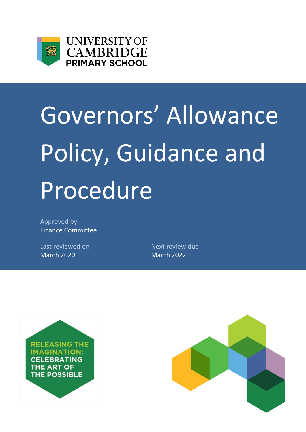



# Governors' Allowance Policy, Guidance and Procedure

Approved by Finance Committee

Last reviewed on Next review due March 2020 March 2022



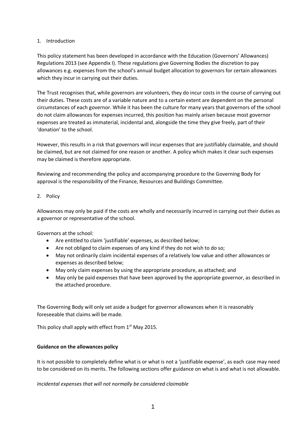# 1. Introduction

This policy statement has been developed in accordance with the Education (Governors' Allowances) Regulations 2013 (see Appendix I). These regulations give Governing Bodies the discretion to pay allowances e.g. expenses from the school's annual budget allocation to governors for certain allowances which they incur in carrying out their duties.

The Trust recognises that, while governors are volunteers, they do incur costs in the course of carrying out their duties. These costs are of a variable nature and to a certain extent are dependent on the personal circumstances of each governor. While it has been the culture for many years that governors of the school do not claim allowances for expenses incurred, this position has mainly arisen because most governor expenses are treated as immaterial, incidental and, alongside the time they give freely, part of their 'donation' to the school.

However, this results in a risk that governors will incur expenses that are justifiably claimable, and should be claimed, but are not claimed for one reason or another. A policy which makes it clear such expenses may be claimed is therefore appropriate.

Reviewing and recommending the policy and accompanying procedure to the Governing Body for approval is the responsibility of the Finance, Resources and Buildings Committee.

## 2. Policy

Allowances may only be paid if the costs are wholly and necessarily incurred in carrying out their duties as a governor or representative of the school.

Governors at the school:

- Are entitled to claim 'justifiable' expenses, as described below;
- Are not obliged to claim expenses of any kind if they do not wish to do so;
- May not ordinarily claim incidental expenses of a relatively low value and other allowances or expenses as described below;
- May only claim expenses by using the appropriate procedure, as attached; and
- May only be paid expenses that have been approved by the appropriate governor, as described in the attached procedure.

The Governing Body will only set aside a budget for governor allowances when it is reasonably foreseeable that claims will be made.

This policy shall apply with effect from  $1<sup>st</sup>$  May 2015.

# **Guidance on the allowances policy**

It is not possible to completely define what is or what is not a 'justifiable expense', as each case may need to be considered on its merits. The following sections offer guidance on what is and what is not allowable.

# *Incidental expenses that will not normally be considered claimable*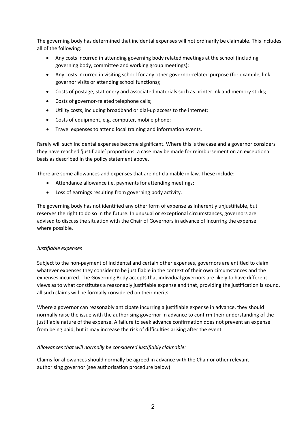The governing body has determined that incidental expenses will not ordinarily be claimable. This includes all of the following:

- Any costs incurred in attending governing body related meetings at the school (including governing body, committee and working group meetings);
- Any costs incurred in visiting school for any other governor-related purpose (for example, link governor visits or attending school functions);
- Costs of postage, stationery and associated materials such as printer ink and memory sticks;
- Costs of governor-related telephone calls;
- Utility costs, including broadband or dial-up access to the internet;
- Costs of equipment, e.g. computer, mobile phone;
- Travel expenses to attend local training and information events.

Rarely will such incidental expenses become significant. Where this is the case and a governor considers they have reached 'justifiable' proportions, a case may be made for reimbursement on an exceptional basis as described in the policy statement above.

There are some allowances and expenses that are not claimable in law. These include:

- Attendance allowance i.e. payments for attending meetings;
- Loss of earnings resulting from governing body activity.

The governing body has not identified any other form of expense as inherently unjustifiable, but reserves the right to do so in the future. In unusual or exceptional circumstances, governors are advised to discuss the situation with the Chair of Governors in advance of incurring the expense where possible.

# *Justifiable expenses*

Subject to the non-payment of incidental and certain other expenses, governors are entitled to claim whatever expenses they consider to be justifiable in the context of their own circumstances and the expenses incurred. The Governing Body accepts that individual governors are likely to have different views as to what constitutes a reasonably justifiable expense and that, providing the justification is sound, all such claims will be formally considered on their merits.

Where a governor can reasonably anticipate incurring a justifiable expense in advance, they should normally raise the issue with the authorising governor in advance to confirm their understanding of the justifiable nature of the expense. A failure to seek advance confirmation does not prevent an expense from being paid, but it may increase the risk of difficulties arising after the event.

# *Allowances that will normally be considered justifiably claimable:*

Claims for allowances should normally be agreed in advance with the Chair or other relevant authorising governor (see authorisation procedure below):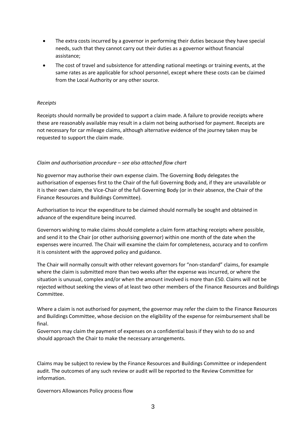- The extra costs incurred by a governor in performing their duties because they have special needs, such that they cannot carry out their duties as a governor without financial assistance;
- The cost of travel and subsistence for attending national meetings or training events, at the same rates as are applicable for school personnel, except where these costs can be claimed from the Local Authority or any other source.

#### *Receipts*

Receipts should normally be provided to support a claim made. A failure to provide receipts where these are reasonably available may result in a claim not being authorised for payment. Receipts are not necessary for car mileage claims, although alternative evidence of the journey taken may be requested to support the claim made.

## *Claim and authorisation procedure – see also attached flow chart*

No governor may authorise their own expense claim. The Governing Body delegates the authorisation of expenses first to the Chair of the full Governing Body and, if they are unavailable or it is their own claim, the Vice-Chair of the full Governing Body (or in their absence, the Chair of the Finance Resources and Buildings Committee).

Authorisation to incur the expenditure to be claimed should normally be sought and obtained in advance of the expenditure being incurred.

Governors wishing to make claims should complete a claim form attaching receipts where possible, and send it to the Chair (or other authorising governor) within one month of the date when the expenses were incurred. The Chair will examine the claim for completeness, accuracy and to confirm it is consistent with the approved policy and guidance.

The Chair will normally consult with other relevant governors for "non-standard" claims, for example where the claim is submitted more than two weeks after the expense was incurred, or where the situation is unusual, complex and/or when the amount involved is more than £50. Claims will not be rejected without seeking the views of at least two other members of the Finance Resources and Buildings Committee.

Where a claim is not authorised for payment, the governor may refer the claim to the Finance Resources and Buildings Committee, whose decision on the eligibility of the expense for reimbursement shall be final.

Governors may claim the payment of expenses on a confidential basis if they wish to do so and should approach the Chair to make the necessary arrangements.

Claims may be subject to review by the Finance Resources and Buildings Committee or independent audit. The outcomes of any such review or audit will be reported to the Review Committee for information.

Governors Allowances Policy process flow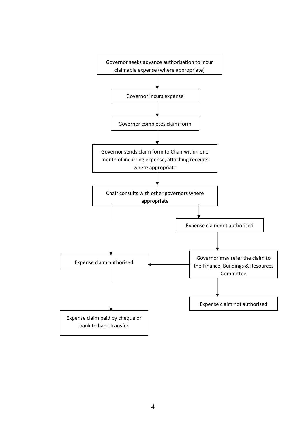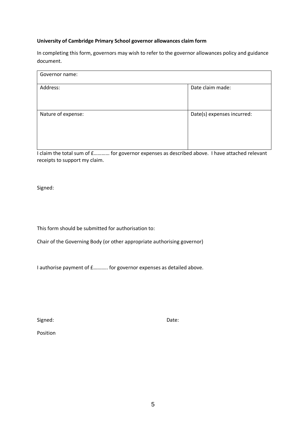## **University of Cambridge Primary School governor allowances claim form**

In completing this form, governors may wish to refer to the governor allowances policy and guidance document.

| Governor name:     |                            |
|--------------------|----------------------------|
| Address:           | Date claim made:           |
| Nature of expense: | Date(s) expenses incurred: |

I claim the total sum of £………… for governor expenses as described above. I have attached relevant receipts to support my claim.

Signed:

This form should be submitted for authorisation to:

Chair of the Governing Body (or other appropriate authorising governor)

I authorise payment of £……….. for governor expenses as detailed above.

Signed: Date:

Position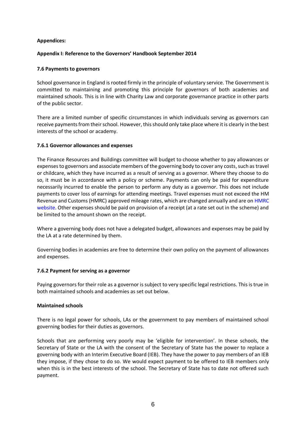## **Appendices:**

## **Appendix I: Reference to the Governors' Handbook September 2014**

#### **7.6 Payments to governors**

School governance in England is rooted firmly in the principle of voluntary service. The Government is committed to maintaining and promoting this principle for governors of both academies and maintained schools. This is in line with Charity Law and corporate governance practice in other parts of the public sector.

There are a limited number of specific circumstances in which individuals serving as governors can receive payments from their school. However, this should only take place where it is clearly in the best interests of the school or academy.

## **7.6.1 Governor allowances and expenses**

The Finance Resources and Buildings committee will budget to choose whether to pay allowances or expenses to governors and associate members of the governing body to cover any costs, such as travel or childcare, which they have incurred as a result of serving as a governor. Where they choose to do so, it must be in accordance with a policy or scheme. Payments can only be paid for expenditure necessarily incurred to enable the person to perform any duty as a governor. This does not include payments to cover loss of earnings for attending meetings. Travel expenses must not exceed the HM Revenue and Customs (HMRC) approved mileage rates, which are changed annually and are on HMRC website. Other expenses should be paid on provision of a receipt (at a rate set out in the scheme) and be limited to the amount shown on the receipt.

Where a governing body does not have a delegated budget, allowances and expenses may be paid by the LA at a rate determined by them.

Governing bodies in academies are free to determine their own policy on the payment of allowances and expenses.

#### **7.6.2 Payment for serving as a governor**

Paying governors for their role as a governor is subject to very specific legal restrictions. This is true in both maintained schools and academies as set out below.

#### **Maintained schools**

There is no legal power for schools, LAs or the government to pay members of maintained school governing bodies for their duties as governors.

Schools that are performing very poorly may be 'eligible for intervention'. In these schools, the Secretary of State or the LA with the consent of the Secretary of State has the power to replace a governing body with an Interim Executive Board (IEB). They have the power to pay members of an IEB they impose, if they chose to do so. We would expect payment to be offered to IEB members only when this is in the best interests of the school. The Secretary of State has to date not offered such payment.